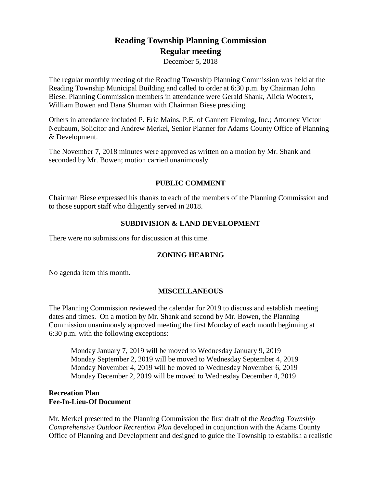# **Reading Township Planning Commission Regular meeting**

December 5, 2018

The regular monthly meeting of the Reading Township Planning Commission was held at the Reading Township Municipal Building and called to order at 6:30 p.m. by Chairman John Biese. Planning Commission members in attendance were Gerald Shank, Alicia Wooters, William Bowen and Dana Shuman with Chairman Biese presiding.

Others in attendance included P. Eric Mains, P.E. of Gannett Fleming, Inc.; Attorney Victor Neubaum, Solicitor and Andrew Merkel, Senior Planner for Adams County Office of Planning & Development.

The November 7, 2018 minutes were approved as written on a motion by Mr. Shank and seconded by Mr. Bowen; motion carried unanimously.

# **PUBLIC COMMENT**

Chairman Biese expressed his thanks to each of the members of the Planning Commission and to those support staff who diligently served in 2018.

# **SUBDIVISION & LAND DEVELOPMENT**

There were no submissions for discussion at this time.

## **ZONING HEARING**

No agenda item this month.

## **MISCELLANEOUS**

The Planning Commission reviewed the calendar for 2019 to discuss and establish meeting dates and times. On a motion by Mr. Shank and second by Mr. Bowen, the Planning Commission unanimously approved meeting the first Monday of each month beginning at 6:30 p.m. with the following exceptions:

Monday January 7, 2019 will be moved to Wednesday January 9, 2019 Monday September 2, 2019 will be moved to Wednesday September 4, 2019 Monday November 4, 2019 will be moved to Wednesday November 6, 2019 Monday December 2, 2019 will be moved to Wednesday December 4, 2019

#### **Recreation Plan Fee-In-Lieu-Of Document**

Mr. Merkel presented to the Planning Commission the first draft of the *Reading Township Comprehensive Outdoor Recreation Plan* developed in conjunction with the Adams County Office of Planning and Development and designed to guide the Township to establish a realistic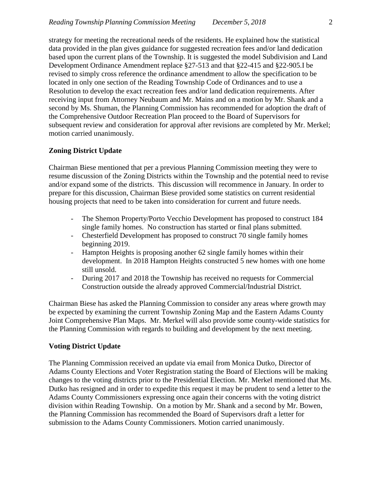strategy for meeting the recreational needs of the residents. He explained how the statistical data provided in the plan gives guidance for suggested recreation fees and/or land dedication based upon the current plans of the Township. It is suggested the model Subdivision and Land Development Ordinance Amendment replace §27-513 and that §22-415 and §22-905.I be revised to simply cross reference the ordinance amendment to allow the specification to be located in only one section of the Reading Township Code of Ordinances and to use a Resolution to develop the exact recreation fees and/or land dedication requirements. After receiving input from Attorney Neubaum and Mr. Mains and on a motion by Mr. Shank and a second by Ms. Shuman, the Planning Commission has recommended for adoption the draft of the Comprehensive Outdoor Recreation Plan proceed to the Board of Supervisors for subsequent review and consideration for approval after revisions are completed by Mr. Merkel; motion carried unanimously.

## **Zoning District Update**

Chairman Biese mentioned that per a previous Planning Commission meeting they were to resume discussion of the Zoning Districts within the Township and the potential need to revise and/or expand some of the districts. This discussion will recommence in January. In order to prepare for this discussion, Chairman Biese provided some statistics on current residential housing projects that need to be taken into consideration for current and future needs.

- The Shemon Property/Porto Vecchio Development has proposed to construct 184 single family homes. No construction has started or final plans submitted.
- Chesterfield Development has proposed to construct 70 single family homes beginning 2019.
- Hampton Heights is proposing another 62 single family homes within their development. In 2018 Hampton Heights constructed 5 new homes with one home still unsold.
- During 2017 and 2018 the Township has received no requests for Commercial Construction outside the already approved Commercial/Industrial District.

Chairman Biese has asked the Planning Commission to consider any areas where growth may be expected by examining the current Township Zoning Map and the Eastern Adams County Joint Comprehensive Plan Maps. Mr. Merkel will also provide some county-wide statistics for the Planning Commission with regards to building and development by the next meeting.

#### **Voting District Update**

The Planning Commission received an update via email from Monica Dutko, Director of Adams County Elections and Voter Registration stating the Board of Elections will be making changes to the voting districts prior to the Presidential Election. Mr. Merkel mentioned that Ms. Dutko has resigned and in order to expedite this request it may be prudent to send a letter to the Adams County Commissioners expressing once again their concerns with the voting district division within Reading Township. On a motion by Mr. Shank and a second by Mr. Bowen, the Planning Commission has recommended the Board of Supervisors draft a letter for submission to the Adams County Commissioners. Motion carried unanimously.